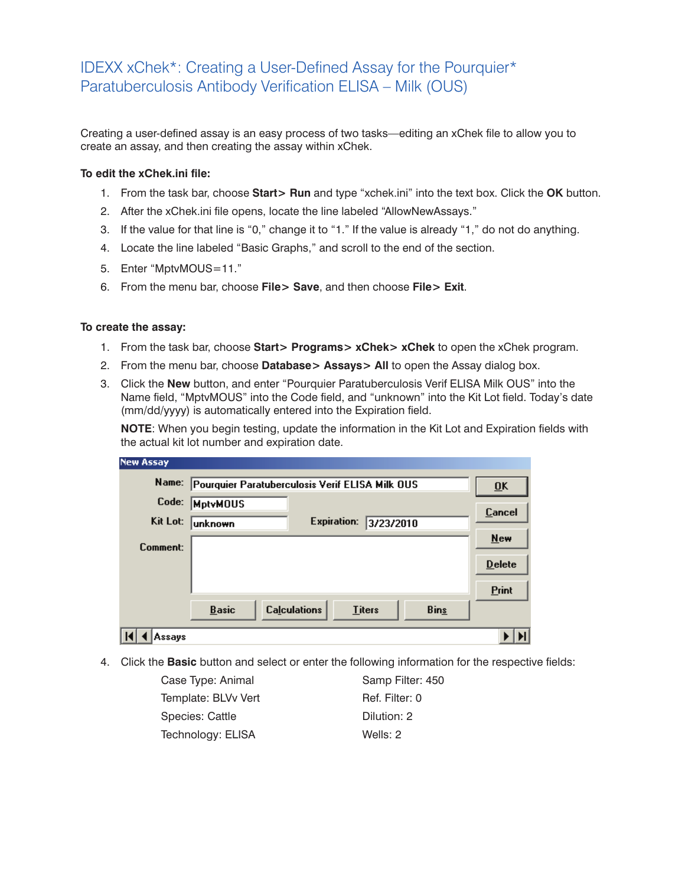## IDEXX xChek\*: Creating a User-Defined Assay for the Pourquier\* Paratuberculosis Antibody Verification ELISA – Milk (OUS)

Creating a user-defined assay is an easy process of two tasks—editing an xChek file to allow you to create an assay, and then creating the assay within xChek.

## **To edit the xChek.ini file:**

- 1. From the task bar, choose **Start> Run** and type "xchek.ini" into the text box. Click the **OK** button.
- 2. After the xChek.ini file opens, locate the line labeled "AllowNewAssays."
- 3. If the value for that line is "0," change it to "1." If the value is already "1," do not do anything.
- 4. Locate the line labeled "Basic Graphs," and scroll to the end of the section.
- 5. Enter "MptvMOUS=11."
- 6. From the menu bar, choose **File> Save**, and then choose **File> Exit**.

## **To create the assay:**

- 1. From the task bar, choose **Start> Programs> xChek> xChek** to open the xChek program.
- 2. From the menu bar, choose **Database> Assays> All** to open the Assay dialog box.
- 3. Click the **New** button, and enter "Pourquier Paratuberculosis Verif ELISA Milk OUS" into the Name field, "MptvMOUS" into the Code field, and "unknown" into the Kit Lot field. Today's date (mm/dd/yyyy) is automatically entered into the Expiration field.

**NOTE:** When you begin testing, update the information in the Kit Lot and Expiration fields with the actual kit lot number and expiration date.

| <b>New Assay</b> |                                                 |                           |               |             |               |
|------------------|-------------------------------------------------|---------------------------|---------------|-------------|---------------|
| Name:            | Pourquier Paratuberculosis Verif ELISA Milk OUS | $\overline{\mathbf{0}}$ K |               |             |               |
| Code:            | <b>MptvMOUS</b>                                 |                           |               |             | Cancel        |
| Kit Lot:         | <b>unknown</b>                                  | <b>Expiration:</b>        | 3/23/2010     |             |               |
| Comment:         |                                                 |                           |               |             | New           |
|                  |                                                 |                           |               |             | <b>Delete</b> |
|                  |                                                 |                           |               |             | Print         |
|                  | <b>Basic</b>                                    | <b>Calculations</b>       | <b>Titers</b> | <b>Bins</b> |               |
| Assays           |                                                 |                           |               |             |               |

4. Click the **Basic** button and select or enter the following information for the respective fields:

| Case Type: Animal   |
|---------------------|
| Template: BLVv Vert |
| Species: Cattle     |
| Technology: ELISA   |

Samp Filter: 450 Ref. Filter: 0 Dilution: 2 Wells: 2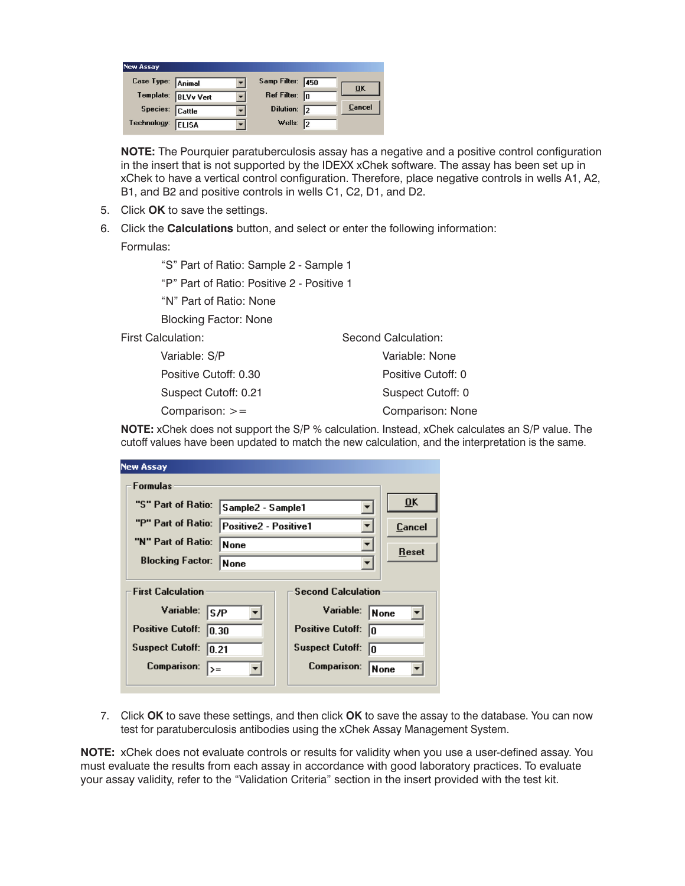| <b>New Assay</b>    |  |                         |    |               |
|---------------------|--|-------------------------|----|---------------|
| Case Type: Animal   |  | Samp Filter: 450        |    | ŪK            |
| Template: BLVv Vert |  | Ref Filter: $\boxed{0}$ |    |               |
| Species: Cattle     |  | Dilution: 2             |    | <b>Cancel</b> |
| Technology: ELISA   |  | Wells:                  | 12 |               |

**NOTE:** The Pourquier paratuberculosis assay has a negative and a positive control configuration in the insert that is not supported by the IDEXX xChek software. The assay has been set up in xChek to have a vertical control configuration. Therefore, place negative controls in wells A1, A2, B1, and B2 and positive controls in wells C1, C2, D1, and D2.

- 5. Click **OK** to save the settings.
- 6. Click the **Calculations** button, and select or enter the following information:

Formulas:

"S" Part of Ratio: Sample 2 - Sample 1

"P" Part of Ratio: Positive 2 - Positive 1

"N" Part of Ratio: None

Blocking Factor: None

First Calculation:

 Variable: S/P Positive Cutoff: 0.30 Suspect Cutoff: 0.21 Comparison: >=

Second Calculation: Variable: None Positive Cutoff: 0 Suspect Cutoff: 0 Comparison: None

**NOTE:** xChek does not support the S/P % calculation. Instead, xChek calculates an S/P value. The cutoff values have been updated to match the new calculation, and the interpretation is the same.

| <b>New Assay</b>                                      |                       |                                   |                           |  |
|-------------------------------------------------------|-----------------------|-----------------------------------|---------------------------|--|
| <b>Formulas</b>                                       |                       |                                   |                           |  |
| "S" Part of Ratio:                                    | Sample2 - Sample1     |                                   | $\overline{\mathbf{0}}$ K |  |
| "P" Part of Ratio:                                    | Positive2 - Positive1 |                                   | Cancel                    |  |
| "N" Part of Ratio:<br><b>None</b>                     |                       |                                   | Reset                     |  |
| <b>Blocking Factor:</b>                               | <b>None</b>           |                                   |                           |  |
| <b>Second Calculation</b><br><b>First Calculation</b> |                       |                                   |                           |  |
| Variable:                                             | S/P                   | Variable:<br><b>None</b>          |                           |  |
| Positive Cutoff:                                      | 0.30                  | <b>Positive Cutoff:</b><br>In     |                           |  |
| <b>Suspect Cutoff:</b>                                | 0.21                  | <b>Suspect Cutoff:</b><br>In      |                           |  |
| Comparison:<br>=< ا                                   |                       | <b>Comparison:</b><br><b>None</b> |                           |  |

7. Click **OK** to save these settings, and then click **OK** to save the assay to the database. You can now test for paratuberculosis antibodies using the xChek Assay Management System.

**NOTE:** xChek does not evaluate controls or results for validity when you use a user-defined assay. You must evaluate the results from each assay in accordance with good laboratory practices. To evaluate your assay validity, refer to the "Validation Criteria" section in the insert provided with the test kit.